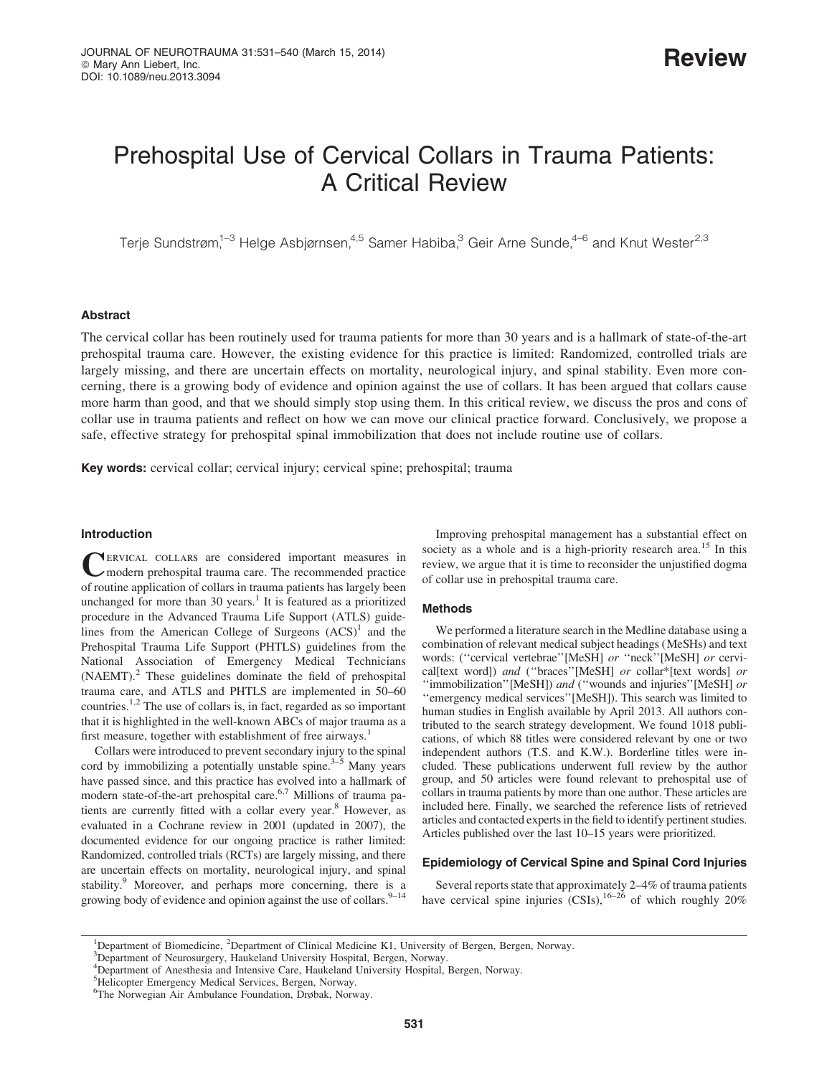# Prehospital Use of Cervical Collars in Trauma Patients: A Critical Review

Terje Sundstrøm,<sup>1–3</sup> Helge Asbjørnsen,<sup>4,5</sup> Samer Habiba,<sup>3</sup> Geir Arne Sunde,<sup>4–6</sup> and Knut Wester<sup>2,3</sup>

## Abstract

The cervical collar has been routinely used for trauma patients for more than 30 years and is a hallmark of state-of-the-art prehospital trauma care. However, the existing evidence for this practice is limited: Randomized, controlled trials are largely missing, and there are uncertain effects on mortality, neurological injury, and spinal stability. Even more concerning, there is a growing body of evidence and opinion against the use of collars. It has been argued that collars cause more harm than good, and that we should simply stop using them. In this critical review, we discuss the pros and cons of collar use in trauma patients and reflect on how we can move our clinical practice forward. Conclusively, we propose a safe, effective strategy for prehospital spinal immobilization that does not include routine use of collars.

Key words: cervical collar; cervical injury; cervical spine; prehospital; trauma

#### Introduction

**NERVICAL COLLARS are considered important measures in** modern prehospital trauma care. The recommended practice of routine application of collars in trauma patients has largely been unchanged for more than 30 years.<sup>1</sup> It is featured as a prioritized procedure in the Advanced Trauma Life Support (ATLS) guidelines from the American College of Surgeons  $(ACS)^1$  and the Prehospital Trauma Life Support (PHTLS) guidelines from the National Association of Emergency Medical Technicians (NAEMT).<sup>2</sup> These guidelines dominate the field of prehospital trauma care, and ATLS and PHTLS are implemented in 50–60 countries.1,2 The use of collars is, in fact, regarded as so important that it is highlighted in the well-known ABCs of major trauma as a first measure, together with establishment of free airways.<sup>1</sup>

Collars were introduced to prevent secondary injury to the spinal cord by immobilizing a potentially unstable spine. $3-5$  Many years have passed since, and this practice has evolved into a hallmark of modern state-of-the-art prehospital care.<sup>6,7</sup> Millions of trauma patients are currently fitted with a collar every year.<sup>8</sup> However, as evaluated in a Cochrane review in 2001 (updated in 2007), the documented evidence for our ongoing practice is rather limited: Randomized, controlled trials (RCTs) are largely missing, and there are uncertain effects on mortality, neurological injury, and spinal stability.<sup>9</sup> Moreover, and perhaps more concerning, there is a growing body of evidence and opinion against the use of collars.<sup>9–14</sup>

Improving prehospital management has a substantial effect on society as a whole and is a high-priority research area.<sup>15</sup> In this review, we argue that it is time to reconsider the unjustified dogma of collar use in prehospital trauma care.

## Methods

We performed a literature search in the Medline database using a combination of relevant medical subject headings (MeSHs) and text words: ("cervical vertebrae"[MeSH] or "neck"[MeSH] or cervical[text word]) and (''braces''[MeSH] or collar\*[text words] or ''immobilization''[MeSH]) and (''wounds and injuries''[MeSH] or ''emergency medical services''[MeSH]). This search was limited to human studies in English available by April 2013. All authors contributed to the search strategy development. We found 1018 publications, of which 88 titles were considered relevant by one or two independent authors (T.S. and K.W.). Borderline titles were included. These publications underwent full review by the author group, and 50 articles were found relevant to prehospital use of collars in trauma patients by more than one author. These articles are included here. Finally, we searched the reference lists of retrieved articles and contacted experts in the field to identify pertinent studies. Articles published over the last 10–15 years were prioritized.

#### Epidemiology of Cervical Spine and Spinal Cord Injuries

Several reports state that approximately 2–4% of trauma patients have cervical spine injuries  $(CSIs)$ ,  $16-26$  of which roughly  $20\%$ 

<sup>&</sup>lt;sup>1</sup>Department of Biomedicine, <sup>2</sup>Department of Clinical Medicine K1, University of Bergen, Bergen, Norway.

<sup>&</sup>lt;sup>3</sup>Department of Neurosurgery, Haukeland University Hospital, Bergen, Norway.

<sup>4</sup> Department of Anesthesia and Intensive Care, Haukeland University Hospital, Bergen, Norway.

<sup>5</sup> Helicopter Emergency Medical Services, Bergen, Norway.

<sup>6</sup> The Norwegian Air Ambulance Foundation, Drøbak, Norway.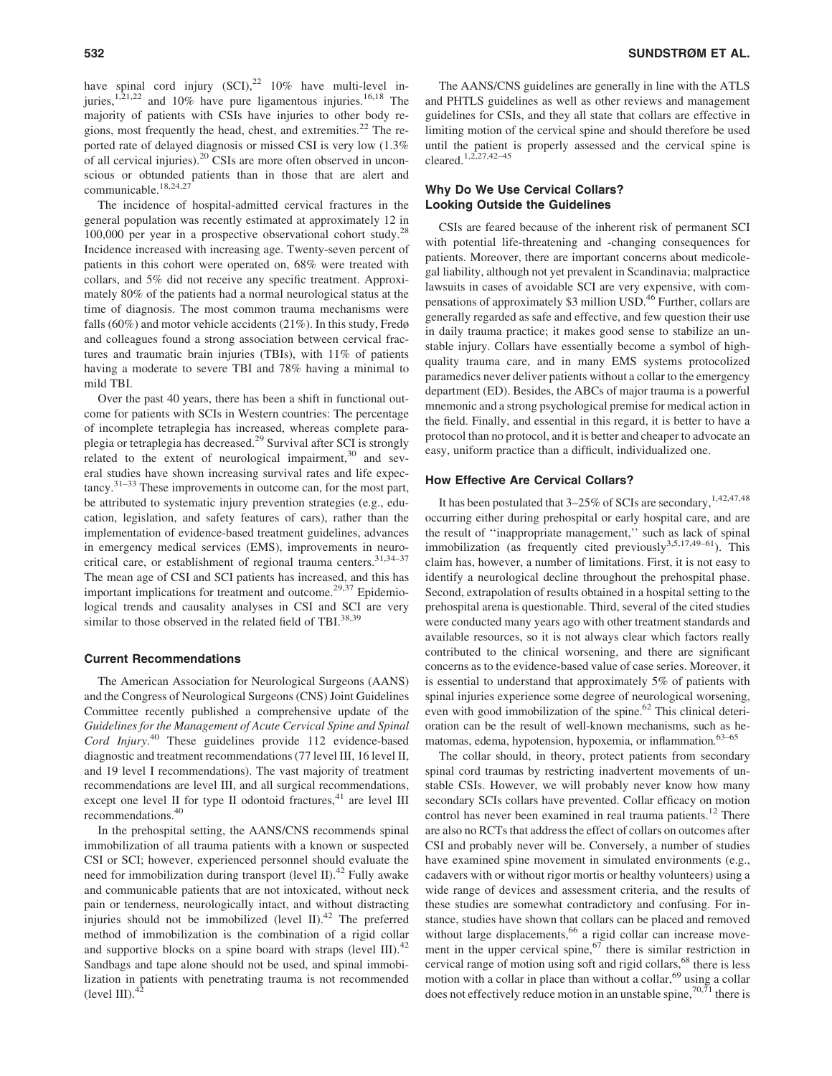have spinal cord injury  $(SCI)$ ,  $^{22}$  10% have multi-level injuries, $1,21,22$  and 10% have pure ligamentous injuries.<sup>16,18</sup> The majority of patients with CSIs have injuries to other body regions, most frequently the head, chest, and extremities. $^{22}$  The reported rate of delayed diagnosis or missed CSI is very low (1.3% of all cervical injuries).<sup>20</sup> CSIs are more often observed in unconscious or obtunded patients than in those that are alert and communicable.18,24,27

The incidence of hospital-admitted cervical fractures in the general population was recently estimated at approximately 12 in 100,000 per year in a prospective observational cohort study.<sup>28</sup> Incidence increased with increasing age. Twenty-seven percent of patients in this cohort were operated on, 68% were treated with collars, and 5% did not receive any specific treatment. Approximately 80% of the patients had a normal neurological status at the time of diagnosis. The most common trauma mechanisms were falls (60%) and motor vehicle accidents (21%). In this study, Fredø and colleagues found a strong association between cervical fractures and traumatic brain injuries (TBIs), with 11% of patients having a moderate to severe TBI and 78% having a minimal to mild TBI.

Over the past 40 years, there has been a shift in functional outcome for patients with SCIs in Western countries: The percentage of incomplete tetraplegia has increased, whereas complete paraplegia or tetraplegia has decreased.<sup>29</sup> Survival after SCI is strongly related to the extent of neurological impairment, $30$  and several studies have shown increasing survival rates and life expec- $\frac{31-33}{2}$  These improvements in outcome can, for the most part, be attributed to systematic injury prevention strategies (e.g., education, legislation, and safety features of cars), rather than the implementation of evidence-based treatment guidelines, advances in emergency medical services (EMS), improvements in neurocritical care, or establishment of regional trauma centers.<sup>31,34-37</sup> The mean age of CSI and SCI patients has increased, and this has important implications for treatment and outcome.<sup>29,37</sup> Epidemiological trends and causality analyses in CSI and SCI are very similar to those observed in the related field of TBI. $^{38,39}$ 

#### Current Recommendations

The American Association for Neurological Surgeons (AANS) and the Congress of Neurological Surgeons (CNS) Joint Guidelines Committee recently published a comprehensive update of the Guidelines for the Management of Acute Cervical Spine and Spinal Cord Injury.<sup>40</sup> These guidelines provide 112 evidence-based diagnostic and treatment recommendations (77 level III, 16 level II, and 19 level I recommendations). The vast majority of treatment recommendations are level III, and all surgical recommendations, except one level II for type II odontoid fractures,  $41$  are level III recommendations.<sup>40</sup>

In the prehospital setting, the AANS/CNS recommends spinal immobilization of all trauma patients with a known or suspected CSI or SCI; however, experienced personnel should evaluate the need for immobilization during transport (level II).<sup>42</sup> Fully awake and communicable patients that are not intoxicated, without neck pain or tenderness, neurologically intact, and without distracting injuries should not be immobilized (level II). $42$  The preferred method of immobilization is the combination of a rigid collar and supportive blocks on a spine board with straps (level III). $42$ Sandbags and tape alone should not be used, and spinal immobilization in patients with penetrating trauma is not recommended (level III). $<sup>4</sup>$ </sup>

The AANS/CNS guidelines are generally in line with the ATLS and PHTLS guidelines as well as other reviews and management guidelines for CSIs, and they all state that collars are effective in limiting motion of the cervical spine and should therefore be used until the patient is properly assessed and the cervical spine is cleared.1,2,27,42–45

# Why Do We Use Cervical Collars? Looking Outside the Guidelines

CSIs are feared because of the inherent risk of permanent SCI with potential life-threatening and -changing consequences for patients. Moreover, there are important concerns about medicolegal liability, although not yet prevalent in Scandinavia; malpractice lawsuits in cases of avoidable SCI are very expensive, with compensations of approximately \$3 million USD.<sup>46</sup> Further, collars are generally regarded as safe and effective, and few question their use in daily trauma practice; it makes good sense to stabilize an unstable injury. Collars have essentially become a symbol of highquality trauma care, and in many EMS systems protocolized paramedics never deliver patients without a collar to the emergency department (ED). Besides, the ABCs of major trauma is a powerful mnemonic and a strong psychological premise for medical action in the field. Finally, and essential in this regard, it is better to have a protocol than no protocol, and it is better and cheaper to advocate an easy, uniform practice than a difficult, individualized one.

#### How Effective Are Cervical Collars?

It has been postulated that  $3-25\%$  of SCIs are secondary,  $1,42,47,48$ occurring either during prehospital or early hospital care, and are the result of ''inappropriate management,'' such as lack of spinal immobilization (as frequently cited previously<sup>3,5,17,49-61</sup>). This claim has, however, a number of limitations. First, it is not easy to identify a neurological decline throughout the prehospital phase. Second, extrapolation of results obtained in a hospital setting to the prehospital arena is questionable. Third, several of the cited studies were conducted many years ago with other treatment standards and available resources, so it is not always clear which factors really contributed to the clinical worsening, and there are significant concerns as to the evidence-based value of case series. Moreover, it is essential to understand that approximately 5% of patients with spinal injuries experience some degree of neurological worsening, even with good immobilization of the spine.<sup>62</sup> This clinical deterioration can be the result of well-known mechanisms, such as hematomas, edema, hypotension, hypoxemia, or inflammation.<sup>63-65</sup>

The collar should, in theory, protect patients from secondary spinal cord traumas by restricting inadvertent movements of unstable CSIs. However, we will probably never know how many secondary SCIs collars have prevented. Collar efficacy on motion control has never been examined in real trauma patients.<sup>12</sup> There are also no RCTs that address the effect of collars on outcomes after CSI and probably never will be. Conversely, a number of studies have examined spine movement in simulated environments (e.g., cadavers with or without rigor mortis or healthy volunteers) using a wide range of devices and assessment criteria, and the results of these studies are somewhat contradictory and confusing. For instance, studies have shown that collars can be placed and removed without large displacements,<sup>66</sup> a rigid collar can increase movement in the upper cervical spine, $67$  there is similar restriction in cervical range of motion using soft and rigid collars,<sup>68</sup> there is less motion with a collar in place than without a collar,  $69$  using a collar does not effectively reduce motion in an unstable spine,  $70,71$  there is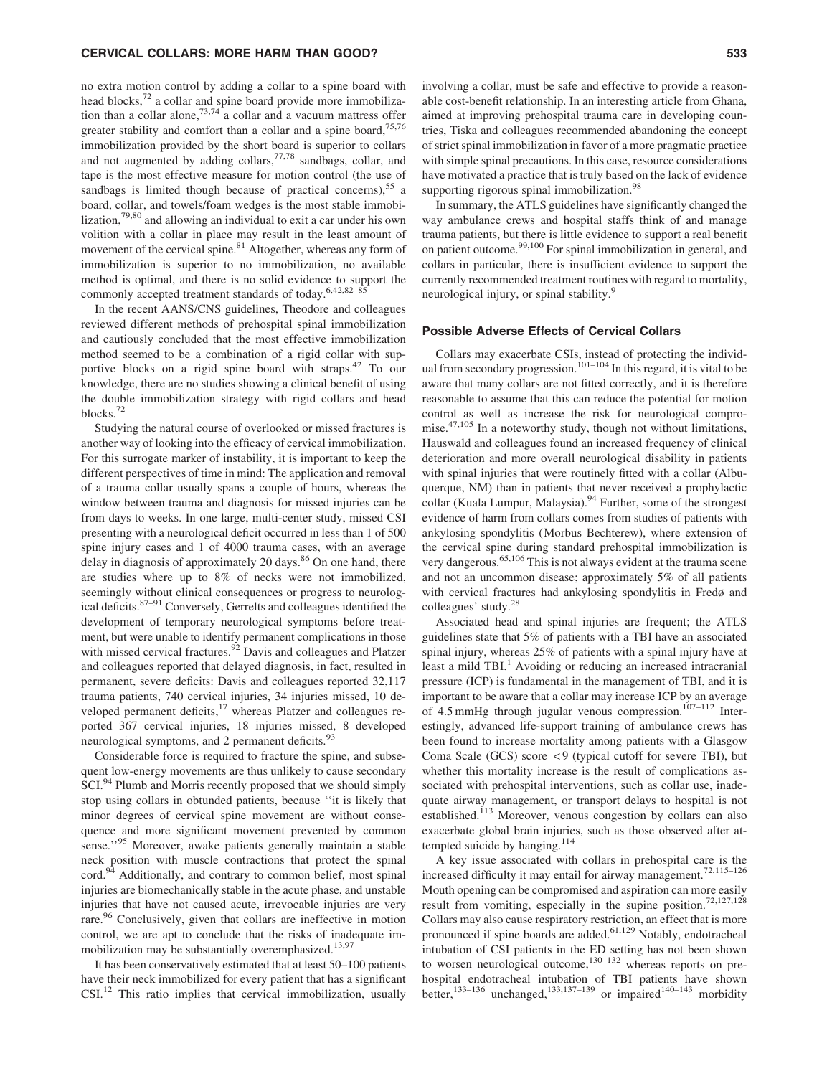no extra motion control by adding a collar to a spine board with head blocks,<sup>72</sup> a collar and spine board provide more immobilization than a collar alone,  $73.74$  a collar and a vacuum mattress offer greater stability and comfort than a collar and a spine board,  $75,76$ immobilization provided by the short board is superior to collars and not augmented by adding collars,  $77,78$  sandbags, collar, and tape is the most effective measure for motion control (the use of sandbags is limited though because of practical concerns),  $55$  a board, collar, and towels/foam wedges is the most stable immobilization,  $79,80$  and allowing an individual to exit a car under his own volition with a collar in place may result in the least amount of movement of the cervical spine.<sup>81</sup> Altogether, whereas any form of immobilization is superior to no immobilization, no available method is optimal, and there is no solid evidence to support the commonly accepted treatment standards of today.<sup>6,42,82–85</sup>

In the recent AANS/CNS guidelines, Theodore and colleagues reviewed different methods of prehospital spinal immobilization and cautiously concluded that the most effective immobilization method seemed to be a combination of a rigid collar with supportive blocks on a rigid spine board with straps.<sup>42</sup> To our knowledge, there are no studies showing a clinical benefit of using the double immobilization strategy with rigid collars and head blocks.<sup>72</sup>

Studying the natural course of overlooked or missed fractures is another way of looking into the efficacy of cervical immobilization. For this surrogate marker of instability, it is important to keep the different perspectives of time in mind: The application and removal of a trauma collar usually spans a couple of hours, whereas the window between trauma and diagnosis for missed injuries can be from days to weeks. In one large, multi-center study, missed CSI presenting with a neurological deficit occurred in less than 1 of 500 spine injury cases and 1 of 4000 trauma cases, with an average delay in diagnosis of approximately 20 days.<sup>86</sup> On one hand, there are studies where up to 8% of necks were not immobilized, seemingly without clinical consequences or progress to neurological deficits.87–91 Conversely, Gerrelts and colleagues identified the development of temporary neurological symptoms before treatment, but were unable to identify permanent complications in those with missed cervical fractures.<sup>92</sup> Davis and colleagues and Platzer and colleagues reported that delayed diagnosis, in fact, resulted in permanent, severe deficits: Davis and colleagues reported 32,117 trauma patients, 740 cervical injuries, 34 injuries missed, 10 developed permanent deficits, $17$  whereas Platzer and colleagues reported 367 cervical injuries, 18 injuries missed, 8 developed neurological symptoms, and 2 permanent deficits.<sup>93</sup>

Considerable force is required to fracture the spine, and subsequent low-energy movements are thus unlikely to cause secondary SCI.<sup>94</sup> Plumb and Morris recently proposed that we should simply stop using collars in obtunded patients, because ''it is likely that minor degrees of cervical spine movement are without consequence and more significant movement prevented by common sense."<sup>95</sup> Moreover, awake patients generally maintain a stable neck position with muscle contractions that protect the spinal cord.<sup>94</sup> Additionally, and contrary to common belief, most spinal injuries are biomechanically stable in the acute phase, and unstable injuries that have not caused acute, irrevocable injuries are very rare.<sup>96</sup> Conclusively, given that collars are ineffective in motion control, we are apt to conclude that the risks of inadequate immobilization may be substantially overemphasized.<sup>13,97</sup>

It has been conservatively estimated that at least 50–100 patients have their neck immobilized for every patient that has a significant CSI.<sup>12</sup> This ratio implies that cervical immobilization, usually involving a collar, must be safe and effective to provide a reasonable cost-benefit relationship. In an interesting article from Ghana, aimed at improving prehospital trauma care in developing countries, Tiska and colleagues recommended abandoning the concept of strict spinal immobilization in favor of a more pragmatic practice with simple spinal precautions. In this case, resource considerations have motivated a practice that is truly based on the lack of evidence supporting rigorous spinal immobilization.<sup>98</sup>

In summary, the ATLS guidelines have significantly changed the way ambulance crews and hospital staffs think of and manage trauma patients, but there is little evidence to support a real benefit on patient outcome.99,100 For spinal immobilization in general, and collars in particular, there is insufficient evidence to support the currently recommended treatment routines with regard to mortality, neurological injury, or spinal stability.<sup>9</sup>

## Possible Adverse Effects of Cervical Collars

Collars may exacerbate CSIs, instead of protecting the individual from secondary progression.<sup>101–104</sup> In this regard, it is vital to be aware that many collars are not fitted correctly, and it is therefore reasonable to assume that this can reduce the potential for motion control as well as increase the risk for neurological compromise.47,105 In a noteworthy study, though not without limitations, Hauswald and colleagues found an increased frequency of clinical deterioration and more overall neurological disability in patients with spinal injuries that were routinely fitted with a collar (Albuquerque, NM) than in patients that never received a prophylactic collar (Kuala Lumpur, Malaysia).<sup>94</sup> Further, some of the strongest evidence of harm from collars comes from studies of patients with ankylosing spondylitis (Morbus Bechterew), where extension of the cervical spine during standard prehospital immobilization is very dangerous.65,106 This is not always evident at the trauma scene and not an uncommon disease; approximately 5% of all patients with cervical fractures had ankylosing spondylitis in Fredø and colleagues' study.28

Associated head and spinal injuries are frequent; the ATLS guidelines state that 5% of patients with a TBI have an associated spinal injury, whereas 25% of patients with a spinal injury have at least a mild TBI. $<sup>1</sup>$  Avoiding or reducing an increased intracranial</sup> pressure (ICP) is fundamental in the management of TBI, and it is important to be aware that a collar may increase ICP by an average of 4.5 mmHg through jugular venous compression.<sup>107-112</sup> Interestingly, advanced life-support training of ambulance crews has been found to increase mortality among patients with a Glasgow Coma Scale (GCS) score < 9 (typical cutoff for severe TBI), but whether this mortality increase is the result of complications associated with prehospital interventions, such as collar use, inadequate airway management, or transport delays to hospital is not established.<sup>113</sup> Moreover, venous congestion by collars can also exacerbate global brain injuries, such as those observed after attempted suicide by hanging.<sup>114</sup>

A key issue associated with collars in prehospital care is the increased difficulty it may entail for airway management.72,115–126 Mouth opening can be compromised and aspiration can more easily result from vomiting, especially in the supine position.<sup>72,127,128</sup> Collars may also cause respiratory restriction, an effect that is more pronounced if spine boards are added.61,129 Notably, endotracheal intubation of CSI patients in the ED setting has not been shown to worsen neurological outcome, $130-132$  whereas reports on prehospital endotracheal intubation of TBI patients have shown better,<sup>133–136</sup> unchanged,<sup>133,137–139</sup> or impaired<sup>140–143</sup> morbidity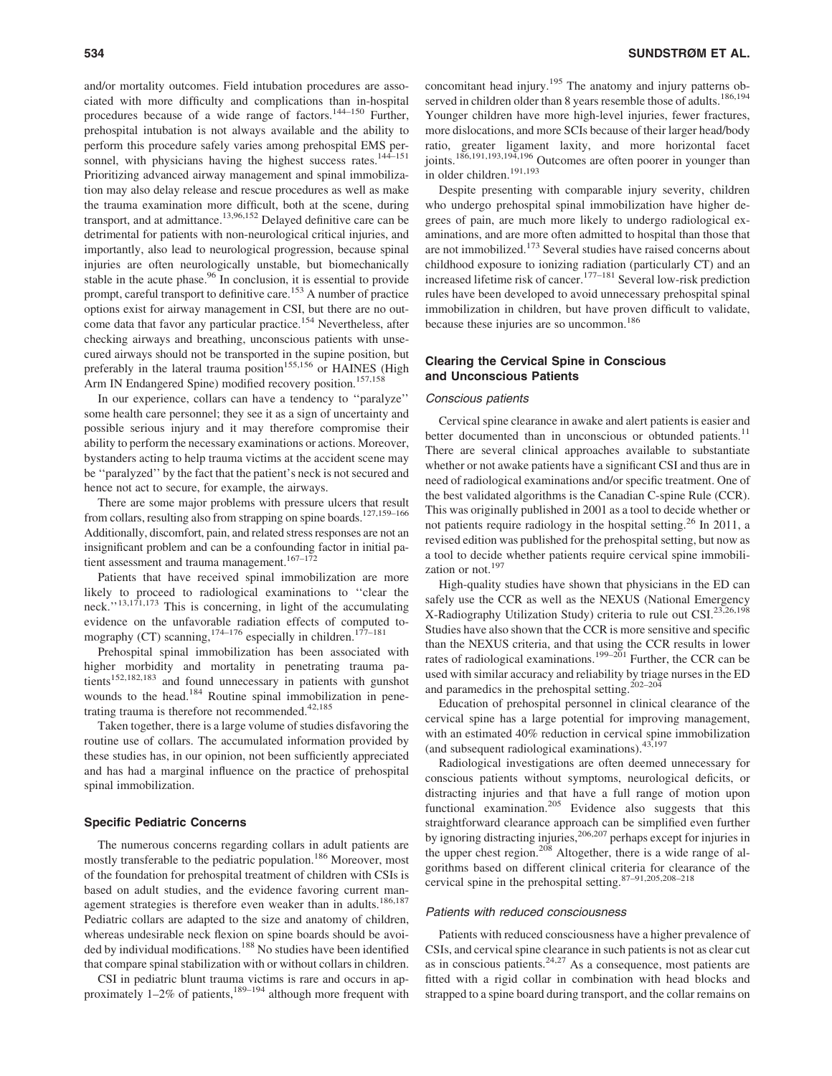and/or mortality outcomes. Field intubation procedures are associated with more difficulty and complications than in-hospital procedures because of a wide range of factors.144–150 Further, prehospital intubation is not always available and the ability to perform this procedure safely varies among prehospital EMS personnel, with physicians having the highest success rates.<sup>144–151</sup> Prioritizing advanced airway management and spinal immobilization may also delay release and rescue procedures as well as make the trauma examination more difficult, both at the scene, during transport, and at admittance.13,96,152 Delayed definitive care can be detrimental for patients with non-neurological critical injuries, and importantly, also lead to neurological progression, because spinal injuries are often neurologically unstable, but biomechanically stable in the acute phase.<sup>96</sup> In conclusion, it is essential to provide prompt, careful transport to definitive care.<sup>153</sup> A number of practice options exist for airway management in CSI, but there are no outcome data that favor any particular practice.<sup>154</sup> Nevertheless, after checking airways and breathing, unconscious patients with unsecured airways should not be transported in the supine position, but preferably in the lateral trauma position<sup>155,156</sup> or HAINES (High Arm IN Endangered Spine) modified recovery position.<sup>157,158</sup>

In our experience, collars can have a tendency to ''paralyze'' some health care personnel; they see it as a sign of uncertainty and possible serious injury and it may therefore compromise their ability to perform the necessary examinations or actions. Moreover, bystanders acting to help trauma victims at the accident scene may be ''paralyzed'' by the fact that the patient's neck is not secured and hence not act to secure, for example, the airways.

There are some major problems with pressure ulcers that result from collars, resulting also from strapping on spine boards.<sup>127,159–166</sup> Additionally, discomfort, pain, and related stress responses are not an insignificant problem and can be a confounding factor in initial patient assessment and trauma management.<sup>167–172</sup>

Patients that have received spinal immobilization are more likely to proceed to radiological examinations to ''clear the neck.<sup>''13,171,173</sup> This is concerning, in light of the accumulating evidence on the unfavorable radiation effects of computed tomography (CT) scanning,  $^{174-176}$  especially in children.<sup>177–181</sup>

Prehospital spinal immobilization has been associated with higher morbidity and mortality in penetrating trauma pa $t$ ients<sup>152,182,183</sup> and found unnecessary in patients with gunshot wounds to the head.<sup>184</sup> Routine spinal immobilization in penetrating trauma is therefore not recommended.<sup>42,185</sup>

Taken together, there is a large volume of studies disfavoring the routine use of collars. The accumulated information provided by these studies has, in our opinion, not been sufficiently appreciated and has had a marginal influence on the practice of prehospital spinal immobilization.

#### Specific Pediatric Concerns

The numerous concerns regarding collars in adult patients are mostly transferable to the pediatric population.<sup>186</sup> Moreover, most of the foundation for prehospital treatment of children with CSIs is based on adult studies, and the evidence favoring current management strategies is therefore even weaker than in adults.<sup>186,187</sup> Pediatric collars are adapted to the size and anatomy of children, whereas undesirable neck flexion on spine boards should be avoided by individual modifications.<sup>188</sup> No studies have been identified that compare spinal stabilization with or without collars in children.

CSI in pediatric blunt trauma victims is rare and occurs in approximately 1–2% of patients,<sup>189–194</sup> although more frequent with concomitant head injury.<sup>195</sup> The anatomy and injury patterns observed in children older than 8 years resemble those of adults.<sup>186,194</sup> Younger children have more high-level injuries, fewer fractures, more dislocations, and more SCIs because of their larger head/body ratio, greater ligament laxity, and more horizontal facet joints.<sup>186,191,193,194,196</sup> Outcomes are often poorer in younger than in older children.<sup>191,193</sup>

Despite presenting with comparable injury severity, children who undergo prehospital spinal immobilization have higher degrees of pain, are much more likely to undergo radiological examinations, and are more often admitted to hospital than those that are not immobilized.<sup>173</sup> Several studies have raised concerns about childhood exposure to ionizing radiation (particularly CT) and an increased lifetime risk of cancer.<sup>177–181</sup> Several low-risk prediction rules have been developed to avoid unnecessary prehospital spinal immobilization in children, but have proven difficult to validate, because these injuries are so uncommon.<sup>186</sup>

## Clearing the Cervical Spine in Conscious and Unconscious Patients

#### Conscious patients

Cervical spine clearance in awake and alert patients is easier and better documented than in unconscious or obtunded patients.<sup>11</sup> There are several clinical approaches available to substantiate whether or not awake patients have a significant CSI and thus are in need of radiological examinations and/or specific treatment. One of the best validated algorithms is the Canadian C-spine Rule (CCR). This was originally published in 2001 as a tool to decide whether or not patients require radiology in the hospital setting.<sup>26</sup> In 2011, a revised edition was published for the prehospital setting, but now as a tool to decide whether patients require cervical spine immobilization or not.<sup>197</sup>

High-quality studies have shown that physicians in the ED can safely use the CCR as well as the NEXUS (National Emergency X-Radiography Utilization Study) criteria to rule out CSI.<sup>23,26,198</sup> Studies have also shown that the CCR is more sensitive and specific than the NEXUS criteria, and that using the CCR results in lower rates of radiological examinations.<sup>199–201</sup> Further, the CCR can be used with similar accuracy and reliability by triage nurses in the ED and paramedics in the prehospital setting.202–204

Education of prehospital personnel in clinical clearance of the cervical spine has a large potential for improving management, with an estimated 40% reduction in cervical spine immobilization (and subsequent radiological examinations).43,197

Radiological investigations are often deemed unnecessary for conscious patients without symptoms, neurological deficits, or distracting injuries and that have a full range of motion upon functional examination.<sup>205</sup> Evidence also suggests that this straightforward clearance approach can be simplified even further by ignoring distracting injuries,<sup>206,207</sup> perhaps except for injuries in the upper chest region.<sup>208</sup> Altogether, there is a wide range of algorithms based on different clinical criteria for clearance of the cervical spine in the prehospital setting.87–91,205,208–218

# Patients with reduced consciousness

Patients with reduced consciousness have a higher prevalence of CSIs, and cervical spine clearance in such patients is not as clear cut as in conscious patients. $24.27$  As a consequence, most patients are fitted with a rigid collar in combination with head blocks and strapped to a spine board during transport, and the collar remains on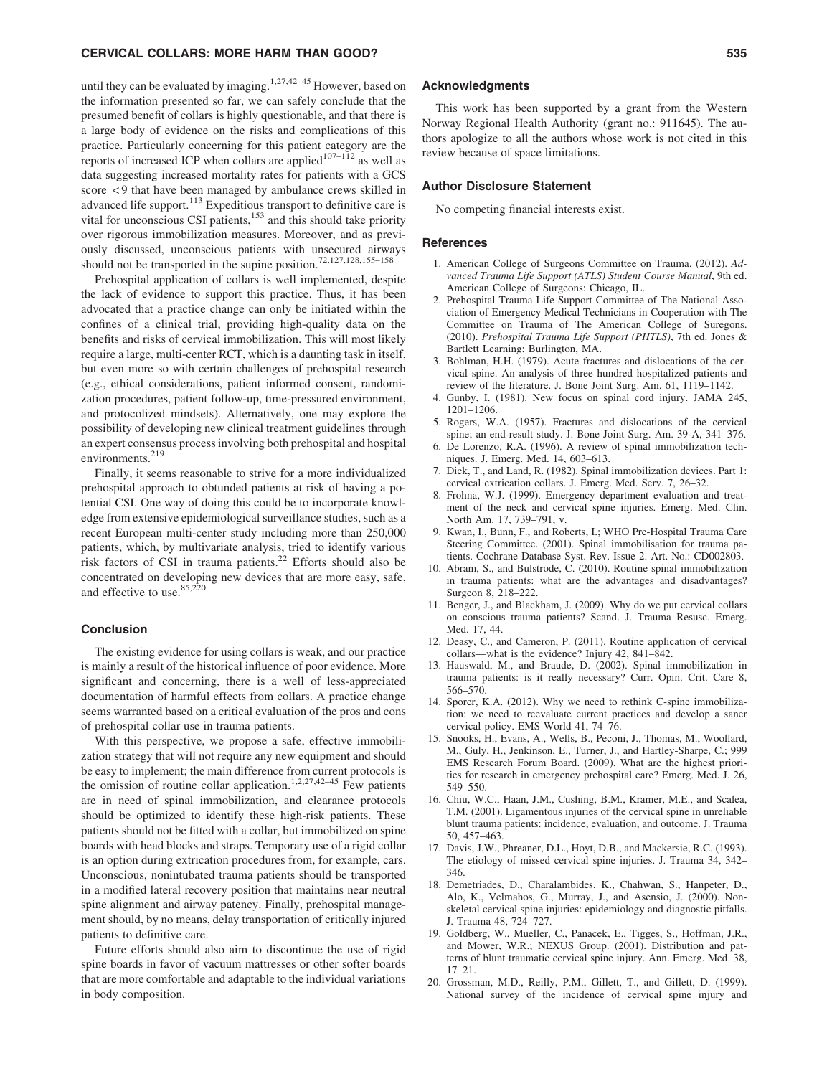#### CERVICAL COLLARS: MORE HARM THAN GOOD? 535

until they can be evaluated by imaging.<sup>1,27,42–45</sup> However, based on the information presented so far, we can safely conclude that the presumed benefit of collars is highly questionable, and that there is a large body of evidence on the risks and complications of this practice. Particularly concerning for this patient category are the reports of increased ICP when collars are applied<sup>107–112</sup> as well as data suggesting increased mortality rates for patients with a GCS score <9 that have been managed by ambulance crews skilled in advanced life support.<sup>113</sup> Expeditious transport to definitive care is vital for unconscious CSI patients, $153$  and this should take priority over rigorous immobilization measures. Moreover, and as previously discussed, unconscious patients with unsecured airways should not be transported in the supine position.<sup>72,127,128,155-158</sup>

Prehospital application of collars is well implemented, despite the lack of evidence to support this practice. Thus, it has been advocated that a practice change can only be initiated within the confines of a clinical trial, providing high-quality data on the benefits and risks of cervical immobilization. This will most likely require a large, multi-center RCT, which is a daunting task in itself, but even more so with certain challenges of prehospital research (e.g., ethical considerations, patient informed consent, randomization procedures, patient follow-up, time-pressured environment, and protocolized mindsets). Alternatively, one may explore the possibility of developing new clinical treatment guidelines through an expert consensus process involving both prehospital and hospital environments.<sup>219</sup>

Finally, it seems reasonable to strive for a more individualized prehospital approach to obtunded patients at risk of having a potential CSI. One way of doing this could be to incorporate knowledge from extensive epidemiological surveillance studies, such as a recent European multi-center study including more than 250,000 patients, which, by multivariate analysis, tried to identify various risk factors of CSI in trauma patients.<sup>22</sup> Efforts should also be concentrated on developing new devices that are more easy, safe, and effective to use.<sup>85,220</sup>

#### Conclusion

The existing evidence for using collars is weak, and our practice is mainly a result of the historical influence of poor evidence. More significant and concerning, there is a well of less-appreciated documentation of harmful effects from collars. A practice change seems warranted based on a critical evaluation of the pros and cons of prehospital collar use in trauma patients.

With this perspective, we propose a safe, effective immobilization strategy that will not require any new equipment and should be easy to implement; the main difference from current protocols is the omission of routine collar application.<sup>1,2,27,42–45</sup> Few patients are in need of spinal immobilization, and clearance protocols should be optimized to identify these high-risk patients. These patients should not be fitted with a collar, but immobilized on spine boards with head blocks and straps. Temporary use of a rigid collar is an option during extrication procedures from, for example, cars. Unconscious, nonintubated trauma patients should be transported in a modified lateral recovery position that maintains near neutral spine alignment and airway patency. Finally, prehospital management should, by no means, delay transportation of critically injured patients to definitive care.

Future efforts should also aim to discontinue the use of rigid spine boards in favor of vacuum mattresses or other softer boards that are more comfortable and adaptable to the individual variations in body composition.

## Acknowledgments

This work has been supported by a grant from the Western Norway Regional Health Authority (grant no.: 911645). The authors apologize to all the authors whose work is not cited in this review because of space limitations.

# Author Disclosure Statement

No competing financial interests exist.

#### **References**

- 1. American College of Surgeons Committee on Trauma. (2012). Advanced Trauma Life Support (ATLS) Student Course Manual, 9th ed. American College of Surgeons: Chicago, IL.
- 2. Prehospital Trauma Life Support Committee of The National Association of Emergency Medical Technicians in Cooperation with The Committee on Trauma of The American College of Suregons. (2010). Prehospital Trauma Life Support (PHTLS), 7th ed. Jones & Bartlett Learning: Burlington, MA.
- 3. Bohlman, H.H. (1979). Acute fractures and dislocations of the cervical spine. An analysis of three hundred hospitalized patients and review of the literature. J. Bone Joint Surg. Am. 61, 1119–1142.
- 4. Gunby, I. (1981). New focus on spinal cord injury. JAMA 245, 1201–1206.
- 5. Rogers, W.A. (1957). Fractures and dislocations of the cervical spine; an end-result study. J. Bone Joint Surg. Am. 39-A, 341–376.
- 6. De Lorenzo, R.A. (1996). A review of spinal immobilization techniques. J. Emerg. Med. 14, 603–613.
- 7. Dick, T., and Land, R. (1982). Spinal immobilization devices. Part 1: cervical extrication collars. J. Emerg. Med. Serv. 7, 26–32.
- 8. Frohna, W.J. (1999). Emergency department evaluation and treatment of the neck and cervical spine injuries. Emerg. Med. Clin. North Am. 17, 739–791, v.
- 9. Kwan, I., Bunn, F., and Roberts, I.; WHO Pre-Hospital Trauma Care Steering Committee. (2001). Spinal immobilisation for trauma patients. Cochrane Database Syst. Rev. Issue 2. Art. No.: CD002803.
- 10. Abram, S., and Bulstrode, C. (2010). Routine spinal immobilization in trauma patients: what are the advantages and disadvantages? Surgeon 8, 218–222.
- 11. Benger, J., and Blackham, J. (2009). Why do we put cervical collars on conscious trauma patients? Scand. J. Trauma Resusc. Emerg. Med. 17, 44.
- 12. Deasy, C., and Cameron, P. (2011). Routine application of cervical collars—what is the evidence? Injury 42, 841–842.
- 13. Hauswald, M., and Braude, D. (2002). Spinal immobilization in trauma patients: is it really necessary? Curr. Opin. Crit. Care 8, 566–570.
- 14. Sporer, K.A. (2012). Why we need to rethink C-spine immobilization: we need to reevaluate current practices and develop a saner cervical policy. EMS World 41, 74–76.
- 15. Snooks, H., Evans, A., Wells, B., Peconi, J., Thomas, M., Woollard, M., Guly, H., Jenkinson, E., Turner, J., and Hartley-Sharpe, C.; 999 EMS Research Forum Board. (2009). What are the highest priorities for research in emergency prehospital care? Emerg. Med. J. 26, 549–550.
- 16. Chiu, W.C., Haan, J.M., Cushing, B.M., Kramer, M.E., and Scalea, T.M. (2001). Ligamentous injuries of the cervical spine in unreliable blunt trauma patients: incidence, evaluation, and outcome. J. Trauma 50, 457–463.
- 17. Davis, J.W., Phreaner, D.L., Hoyt, D.B., and Mackersie, R.C. (1993). The etiology of missed cervical spine injuries. J. Trauma 34, 342– 346.
- 18. Demetriades, D., Charalambides, K., Chahwan, S., Hanpeter, D., Alo, K., Velmahos, G., Murray, J., and Asensio, J. (2000). Nonskeletal cervical spine injuries: epidemiology and diagnostic pitfalls. J. Trauma 48, 724–727.
- 19. Goldberg, W., Mueller, C., Panacek, E., Tigges, S., Hoffman, J.R., and Mower, W.R.; NEXUS Group. (2001). Distribution and patterns of blunt traumatic cervical spine injury. Ann. Emerg. Med. 38, 17–21.
- 20. Grossman, M.D., Reilly, P.M., Gillett, T., and Gillett, D. (1999). National survey of the incidence of cervical spine injury and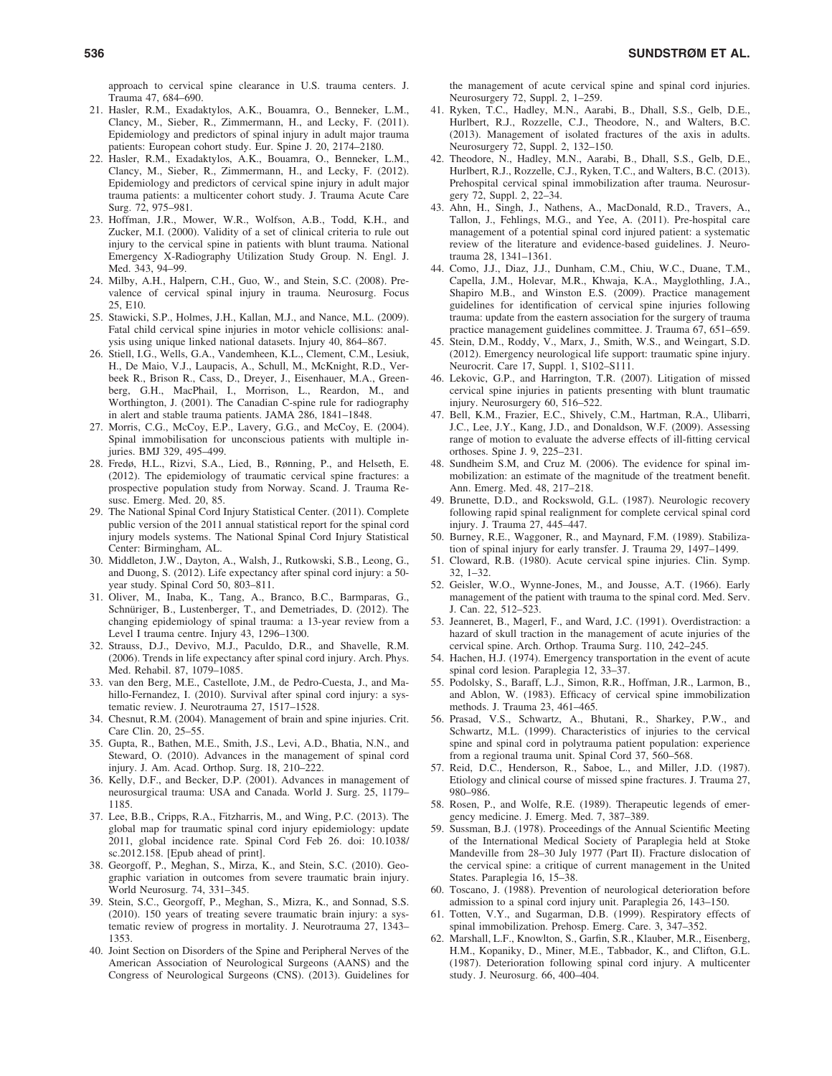approach to cervical spine clearance in U.S. trauma centers. J. Trauma 47, 684–690.

- 21. Hasler, R.M., Exadaktylos, A.K., Bouamra, O., Benneker, L.M., Clancy, M., Sieber, R., Zimmermann, H., and Lecky, F. (2011). Epidemiology and predictors of spinal injury in adult major trauma patients: European cohort study. Eur. Spine J. 20, 2174–2180.
- 22. Hasler, R.M., Exadaktylos, A.K., Bouamra, O., Benneker, L.M., Clancy, M., Sieber, R., Zimmermann, H., and Lecky, F. (2012). Epidemiology and predictors of cervical spine injury in adult major trauma patients: a multicenter cohort study. J. Trauma Acute Care Surg. 72, 975–981.
- 23. Hoffman, J.R., Mower, W.R., Wolfson, A.B., Todd, K.H., and Zucker, M.I. (2000). Validity of a set of clinical criteria to rule out injury to the cervical spine in patients with blunt trauma. National Emergency X-Radiography Utilization Study Group. N. Engl. J. Med. 343, 94–99.
- 24. Milby, A.H., Halpern, C.H., Guo, W., and Stein, S.C. (2008). Prevalence of cervical spinal injury in trauma. Neurosurg. Focus 25, E10.
- 25. Stawicki, S.P., Holmes, J.H., Kallan, M.J., and Nance, M.L. (2009). Fatal child cervical spine injuries in motor vehicle collisions: analysis using unique linked national datasets. Injury 40, 864–867.
- 26. Stiell, I.G., Wells, G.A., Vandemheen, K.L., Clement, C.M., Lesiuk, H., De Maio, V.J., Laupacis, A., Schull, M., McKnight, R.D., Verbeek R., Brison R., Cass, D., Dreyer, J., Eisenhauer, M.A., Greenberg, G.H., MacPhail, I., Morrison, L., Reardon, M., and Worthington, J. (2001). The Canadian C-spine rule for radiography in alert and stable trauma patients. JAMA 286, 1841–1848.
- 27. Morris, C.G., McCoy, E.P., Lavery, G.G., and McCoy, E. (2004). Spinal immobilisation for unconscious patients with multiple injuries. BMJ 329, 495–499.
- 28. Fredø, H.L., Rizvi, S.A., Lied, B., Rønning, P., and Helseth, E. (2012). The epidemiology of traumatic cervical spine fractures: a prospective population study from Norway. Scand. J. Trauma Resusc. Emerg. Med. 20, 85.
- 29. The National Spinal Cord Injury Statistical Center. (2011). Complete public version of the 2011 annual statistical report for the spinal cord injury models systems. The National Spinal Cord Injury Statistical Center: Birmingham, AL.
- 30. Middleton, J.W., Dayton, A., Walsh, J., Rutkowski, S.B., Leong, G., and Duong, S. (2012). Life expectancy after spinal cord injury: a 50 year study. Spinal Cord 50, 803–811.
- 31. Oliver, M., Inaba, K., Tang, A., Branco, B.C., Barmparas, G., Schnüriger, B., Lustenberger, T., and Demetriades, D. (2012). The changing epidemiology of spinal trauma: a 13-year review from a Level I trauma centre. Injury 43, 1296–1300.
- 32. Strauss, D.J., Devivo, M.J., Paculdo, D.R., and Shavelle, R.M. (2006). Trends in life expectancy after spinal cord injury. Arch. Phys. Med. Rehabil. 87, 1079–1085.
- 33. van den Berg, M.E., Castellote, J.M., de Pedro-Cuesta, J., and Mahillo-Fernandez, I. (2010). Survival after spinal cord injury: a systematic review. J. Neurotrauma 27, 1517–1528.
- 34. Chesnut, R.M. (2004). Management of brain and spine injuries. Crit. Care Clin. 20, 25–55.
- 35. Gupta, R., Bathen, M.E., Smith, J.S., Levi, A.D., Bhatia, N.N., and Steward, O. (2010). Advances in the management of spinal cord injury. J. Am. Acad. Orthop. Surg. 18, 210–222.
- 36. Kelly, D.F., and Becker, D.P. (2001). Advances in management of neurosurgical trauma: USA and Canada. World J. Surg. 25, 1179– 1185.
- 37. Lee, B.B., Cripps, R.A., Fitzharris, M., and Wing, P.C. (2013). The global map for traumatic spinal cord injury epidemiology: update 2011, global incidence rate. Spinal Cord Feb 26. doi: 10.1038/ sc.2012.158. [Epub ahead of print].
- 38. Georgoff, P., Meghan, S., Mirza, K., and Stein, S.C. (2010). Geographic variation in outcomes from severe traumatic brain injury. World Neurosurg. 74, 331–345.
- 39. Stein, S.C., Georgoff, P., Meghan, S., Mizra, K., and Sonnad, S.S. (2010). 150 years of treating severe traumatic brain injury: a systematic review of progress in mortality. J. Neurotrauma 27, 1343– 1353.
- 40. Joint Section on Disorders of the Spine and Peripheral Nerves of the American Association of Neurological Surgeons (AANS) and the Congress of Neurological Surgeons (CNS). (2013). Guidelines for

the management of acute cervical spine and spinal cord injuries. Neurosurgery 72, Suppl. 2, 1–259.

- 41. Ryken, T.C., Hadley, M.N., Aarabi, B., Dhall, S.S., Gelb, D.E., Hurlbert, R.J., Rozzelle, C.J., Theodore, N., and Walters, B.C. (2013). Management of isolated fractures of the axis in adults. Neurosurgery 72, Suppl. 2, 132–150.
- 42. Theodore, N., Hadley, M.N., Aarabi, B., Dhall, S.S., Gelb, D.E., Hurlbert, R.J., Rozzelle, C.J., Ryken, T.C., and Walters, B.C. (2013). Prehospital cervical spinal immobilization after trauma. Neurosurgery 72, Suppl. 2, 22–34.
- 43. Ahn, H., Singh, J., Nathens, A., MacDonald, R.D., Travers, A., Tallon, J., Fehlings, M.G., and Yee, A. (2011). Pre-hospital care management of a potential spinal cord injured patient: a systematic review of the literature and evidence-based guidelines. J. Neurotrauma 28, 1341–1361.
- 44. Como, J.J., Diaz, J.J., Dunham, C.M., Chiu, W.C., Duane, T.M., Capella, J.M., Holevar, M.R., Khwaja, K.A., Mayglothling, J.A., Shapiro M.B., and Winston E.S. (2009). Practice management guidelines for identification of cervical spine injuries following trauma: update from the eastern association for the surgery of trauma practice management guidelines committee. J. Trauma 67, 651–659.
- 45. Stein, D.M., Roddy, V., Marx, J., Smith, W.S., and Weingart, S.D. (2012). Emergency neurological life support: traumatic spine injury. Neurocrit. Care 17, Suppl. 1, S102–S111.
- 46. Lekovic, G.P., and Harrington, T.R. (2007). Litigation of missed cervical spine injuries in patients presenting with blunt traumatic injury. Neurosurgery 60, 516–522.
- 47. Bell, K.M., Frazier, E.C., Shively, C.M., Hartman, R.A., Ulibarri, J.C., Lee, J.Y., Kang, J.D., and Donaldson, W.F. (2009). Assessing range of motion to evaluate the adverse effects of ill-fitting cervical orthoses. Spine J. 9, 225–231.
- 48. Sundheim S.M, and Cruz M. (2006). The evidence for spinal immobilization: an estimate of the magnitude of the treatment benefit. Ann. Emerg. Med. 48, 217–218.
- 49. Brunette, D.D., and Rockswold, G.L. (1987). Neurologic recovery following rapid spinal realignment for complete cervical spinal cord injury. J. Trauma 27, 445–447.
- 50. Burney, R.E., Waggoner, R., and Maynard, F.M. (1989). Stabilization of spinal injury for early transfer. J. Trauma 29, 1497–1499.
- 51. Cloward, R.B. (1980). Acute cervical spine injuries. Clin. Symp. 32, 1–32.
- 52. Geisler, W.O., Wynne-Jones, M., and Jousse, A.T. (1966). Early management of the patient with trauma to the spinal cord. Med. Serv. J. Can. 22, 512–523.
- 53. Jeanneret, B., Magerl, F., and Ward, J.C. (1991). Overdistraction: a hazard of skull traction in the management of acute injuries of the cervical spine. Arch. Orthop. Trauma Surg. 110, 242–245.
- 54. Hachen, H.J. (1974). Emergency transportation in the event of acute spinal cord lesion. Paraplegia 12, 33–37.
- 55. Podolsky, S., Baraff, L.J., Simon, R.R., Hoffman, J.R., Larmon, B., and Ablon, W. (1983). Efficacy of cervical spine immobilization methods. J. Trauma 23, 461–465.
- 56. Prasad, V.S., Schwartz, A., Bhutani, R., Sharkey, P.W., and Schwartz, M.L. (1999). Characteristics of injuries to the cervical spine and spinal cord in polytrauma patient population: experience from a regional trauma unit. Spinal Cord 37, 560–568.
- 57. Reid, D.C., Henderson, R., Saboe, L., and Miller, J.D. (1987). Etiology and clinical course of missed spine fractures. J. Trauma 27, 980–986.
- 58. Rosen, P., and Wolfe, R.E. (1989). Therapeutic legends of emergency medicine. J. Emerg. Med. 7, 387–389.
- 59. Sussman, B.J. (1978). Proceedings of the Annual Scientific Meeting of the International Medical Society of Paraplegia held at Stoke Mandeville from 28–30 July 1977 (Part II). Fracture dislocation of the cervical spine: a critique of current management in the United States. Paraplegia 16, 15–38.
- 60. Toscano, J. (1988). Prevention of neurological deterioration before admission to a spinal cord injury unit. Paraplegia 26, 143–150.
- 61. Totten, V.Y., and Sugarman, D.B. (1999). Respiratory effects of spinal immobilization. Prehosp. Emerg. Care. 3, 347–352.
- 62. Marshall, L.F., Knowlton, S., Garfin, S.R., Klauber, M.R., Eisenberg, H.M., Kopaniky, D., Miner, M.E., Tabbador, K., and Clifton, G.L. (1987). Deterioration following spinal cord injury. A multicenter study. J. Neurosurg. 66, 400–404.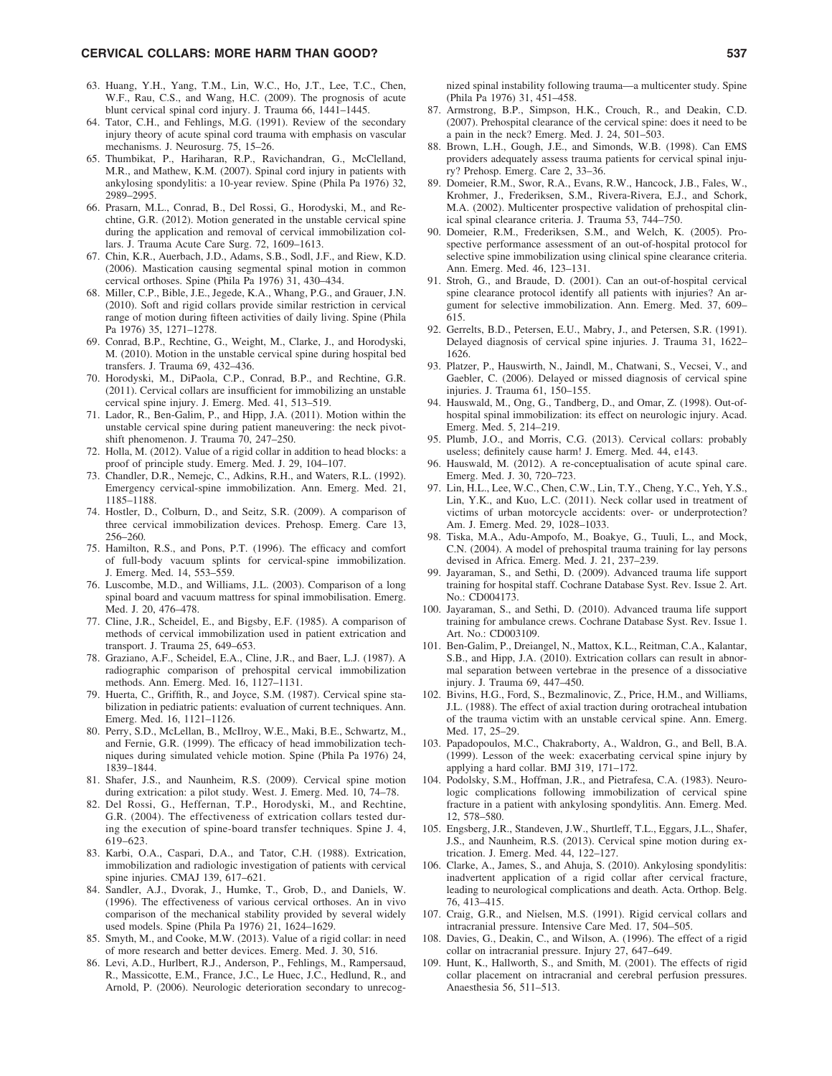- 63. Huang, Y.H., Yang, T.M., Lin, W.C., Ho, J.T., Lee, T.C., Chen, W.F., Rau, C.S., and Wang, H.C. (2009). The prognosis of acute blunt cervical spinal cord injury. J. Trauma 66, 1441–1445.
- 64. Tator, C.H., and Fehlings, M.G. (1991). Review of the secondary injury theory of acute spinal cord trauma with emphasis on vascular mechanisms. J. Neurosurg. 75, 15–26.
- 65. Thumbikat, P., Hariharan, R.P., Ravichandran, G., McClelland, M.R., and Mathew, K.M. (2007). Spinal cord injury in patients with ankylosing spondylitis: a 10-year review. Spine (Phila Pa 1976) 32, 2989–2995.
- 66. Prasarn, M.L., Conrad, B., Del Rossi, G., Horodyski, M., and Rechtine, G.R. (2012). Motion generated in the unstable cervical spine during the application and removal of cervical immobilization collars. J. Trauma Acute Care Surg. 72, 1609–1613.
- 67. Chin, K.R., Auerbach, J.D., Adams, S.B., Sodl, J.F., and Riew, K.D. (2006). Mastication causing segmental spinal motion in common cervical orthoses. Spine (Phila Pa 1976) 31, 430–434.
- 68. Miller, C.P., Bible, J.E., Jegede, K.A., Whang, P.G., and Grauer, J.N. (2010). Soft and rigid collars provide similar restriction in cervical range of motion during fifteen activities of daily living. Spine (Phila Pa 1976) 35, 1271–1278.
- 69. Conrad, B.P., Rechtine, G., Weight, M., Clarke, J., and Horodyski, M. (2010). Motion in the unstable cervical spine during hospital bed transfers. J. Trauma 69, 432–436.
- 70. Horodyski, M., DiPaola, C.P., Conrad, B.P., and Rechtine, G.R. (2011). Cervical collars are insufficient for immobilizing an unstable cervical spine injury. J. Emerg. Med. 41, 513–519.
- 71. Lador, R., Ben-Galim, P., and Hipp, J.A. (2011). Motion within the unstable cervical spine during patient maneuvering: the neck pivotshift phenomenon. J. Trauma 70, 247–250.
- 72. Holla, M. (2012). Value of a rigid collar in addition to head blocks: a proof of principle study. Emerg. Med. J. 29, 104–107.
- 73. Chandler, D.R., Nemejc, C., Adkins, R.H., and Waters, R.L. (1992). Emergency cervical-spine immobilization. Ann. Emerg. Med. 21, 1185–1188.
- 74. Hostler, D., Colburn, D., and Seitz, S.R. (2009). A comparison of three cervical immobilization devices. Prehosp. Emerg. Care 13, 256–260.
- 75. Hamilton, R.S., and Pons, P.T. (1996). The efficacy and comfort of full-body vacuum splints for cervical-spine immobilization. J. Emerg. Med. 14, 553–559.
- 76. Luscombe, M.D., and Williams, J.L. (2003). Comparison of a long spinal board and vacuum mattress for spinal immobilisation. Emerg. Med. J. 20, 476–478.
- 77. Cline, J.R., Scheidel, E., and Bigsby, E.F. (1985). A comparison of methods of cervical immobilization used in patient extrication and transport. J. Trauma 25, 649–653.
- 78. Graziano, A.F., Scheidel, E.A., Cline, J.R., and Baer, L.J. (1987). A radiographic comparison of prehospital cervical immobilization methods. Ann. Emerg. Med. 16, 1127–1131.
- 79. Huerta, C., Griffith, R., and Joyce, S.M. (1987). Cervical spine stabilization in pediatric patients: evaluation of current techniques. Ann. Emerg. Med. 16, 1121–1126.
- 80. Perry, S.D., McLellan, B., McIlroy, W.E., Maki, B.E., Schwartz, M., and Fernie, G.R. (1999). The efficacy of head immobilization techniques during simulated vehicle motion. Spine (Phila Pa 1976) 24, 1839–1844.
- 81. Shafer, J.S., and Naunheim, R.S. (2009). Cervical spine motion during extrication: a pilot study. West. J. Emerg. Med. 10, 74–78.
- 82. Del Rossi, G., Heffernan, T.P., Horodyski, M., and Rechtine, G.R. (2004). The effectiveness of extrication collars tested during the execution of spine-board transfer techniques. Spine J. 4, 619–623.
- 83. Karbi, O.A., Caspari, D.A., and Tator, C.H. (1988). Extrication, immobilization and radiologic investigation of patients with cervical spine injuries. CMAJ 139, 617–621.
- 84. Sandler, A.J., Dvorak, J., Humke, T., Grob, D., and Daniels, W. (1996). The effectiveness of various cervical orthoses. An in vivo comparison of the mechanical stability provided by several widely used models. Spine (Phila Pa 1976) 21, 1624–1629.
- 85. Smyth, M., and Cooke, M.W. (2013). Value of a rigid collar: in need of more research and better devices. Emerg. Med. J. 30, 516.
- 86. Levi, A.D., Hurlbert, R.J., Anderson, P., Fehlings, M., Rampersaud, R., Massicotte, E.M., France, J.C., Le Huec, J.C., Hedlund, R., and Arnold, P. (2006). Neurologic deterioration secondary to unrecog-

nized spinal instability following trauma—a multicenter study. Spine (Phila Pa 1976) 31, 451–458.

- 87. Armstrong, B.P., Simpson, H.K., Crouch, R., and Deakin, C.D. (2007). Prehospital clearance of the cervical spine: does it need to be a pain in the neck? Emerg. Med. J. 24, 501–503.
- 88. Brown, L.H., Gough, J.E., and Simonds, W.B. (1998). Can EMS providers adequately assess trauma patients for cervical spinal injury? Prehosp. Emerg. Care 2, 33–36.
- 89. Domeier, R.M., Swor, R.A., Evans, R.W., Hancock, J.B., Fales, W., Krohmer, J., Frederiksen, S.M., Rivera-Rivera, E.J., and Schork, M.A. (2002). Multicenter prospective validation of prehospital clinical spinal clearance criteria. J. Trauma 53, 744–750.
- 90. Domeier, R.M., Frederiksen, S.M., and Welch, K. (2005). Prospective performance assessment of an out-of-hospital protocol for selective spine immobilization using clinical spine clearance criteria. Ann. Emerg. Med. 46, 123–131.
- 91. Stroh, G., and Braude, D. (2001). Can an out-of-hospital cervical spine clearance protocol identify all patients with injuries? An argument for selective immobilization. Ann. Emerg. Med. 37, 609– 615.
- 92. Gerrelts, B.D., Petersen, E.U., Mabry, J., and Petersen, S.R. (1991). Delayed diagnosis of cervical spine injuries. J. Trauma 31, 1622– 1626.
- 93. Platzer, P., Hauswirth, N., Jaindl, M., Chatwani, S., Vecsei, V., and Gaebler, C. (2006). Delayed or missed diagnosis of cervical spine injuries. J. Trauma 61, 150–155.
- 94. Hauswald, M., Ong, G., Tandberg, D., and Omar, Z. (1998). Out-ofhospital spinal immobilization: its effect on neurologic injury. Acad. Emerg. Med. 5, 214–219.
- 95. Plumb, J.O., and Morris, C.G. (2013). Cervical collars: probably useless; definitely cause harm! J. Emerg. Med. 44, e143.
- 96. Hauswald, M. (2012). A re-conceptualisation of acute spinal care. Emerg. Med. J. 30, 720–723.
- 97. Lin, H.L., Lee, W.C., Chen, C.W., Lin, T.Y., Cheng, Y.C., Yeh, Y.S., Lin, Y.K., and Kuo, L.C. (2011). Neck collar used in treatment of victims of urban motorcycle accidents: over- or underprotection? Am. J. Emerg. Med. 29, 1028–1033.
- 98. Tiska, M.A., Adu-Ampofo, M., Boakye, G., Tuuli, L., and Mock, C.N. (2004). A model of prehospital trauma training for lay persons devised in Africa. Emerg. Med. J. 21, 237–239.
- 99. Jayaraman, S., and Sethi, D. (2009). Advanced trauma life support training for hospital staff. Cochrane Database Syst. Rev. Issue 2. Art. No.: CD004173.
- 100. Jayaraman, S., and Sethi, D. (2010). Advanced trauma life support training for ambulance crews. Cochrane Database Syst. Rev. Issue 1. Art. No.: CD003109.
- 101. Ben-Galim, P., Dreiangel, N., Mattox, K.L., Reitman, C.A., Kalantar, S.B., and Hipp, J.A. (2010). Extrication collars can result in abnormal separation between vertebrae in the presence of a dissociative injury. J. Trauma 69, 447–450.
- 102. Bivins, H.G., Ford, S., Bezmalinovic, Z., Price, H.M., and Williams, J.L. (1988). The effect of axial traction during orotracheal intubation of the trauma victim with an unstable cervical spine. Ann. Emerg. Med. 17, 25–29.
- 103. Papadopoulos, M.C., Chakraborty, A., Waldron, G., and Bell, B.A. (1999). Lesson of the week: exacerbating cervical spine injury by applying a hard collar. BMJ 319, 171–172.
- 104. Podolsky, S.M., Hoffman, J.R., and Pietrafesa, C.A. (1983). Neurologic complications following immobilization of cervical spine fracture in a patient with ankylosing spondylitis. Ann. Emerg. Med. 12, 578–580.
- 105. Engsberg, J.R., Standeven, J.W., Shurtleff, T.L., Eggars, J.L., Shafer, J.S., and Naunheim, R.S. (2013). Cervical spine motion during extrication. J. Emerg. Med. 44, 122–127.
- 106. Clarke, A., James, S., and Ahuja, S. (2010). Ankylosing spondylitis: inadvertent application of a rigid collar after cervical fracture, leading to neurological complications and death. Acta. Orthop. Belg. 76, 413–415.
- 107. Craig, G.R., and Nielsen, M.S. (1991). Rigid cervical collars and intracranial pressure. Intensive Care Med. 17, 504–505.
- 108. Davies, G., Deakin, C., and Wilson, A. (1996). The effect of a rigid collar on intracranial pressure. Injury 27, 647–649.
- 109. Hunt, K., Hallworth, S., and Smith, M. (2001). The effects of rigid collar placement on intracranial and cerebral perfusion pressures. Anaesthesia 56, 511–513.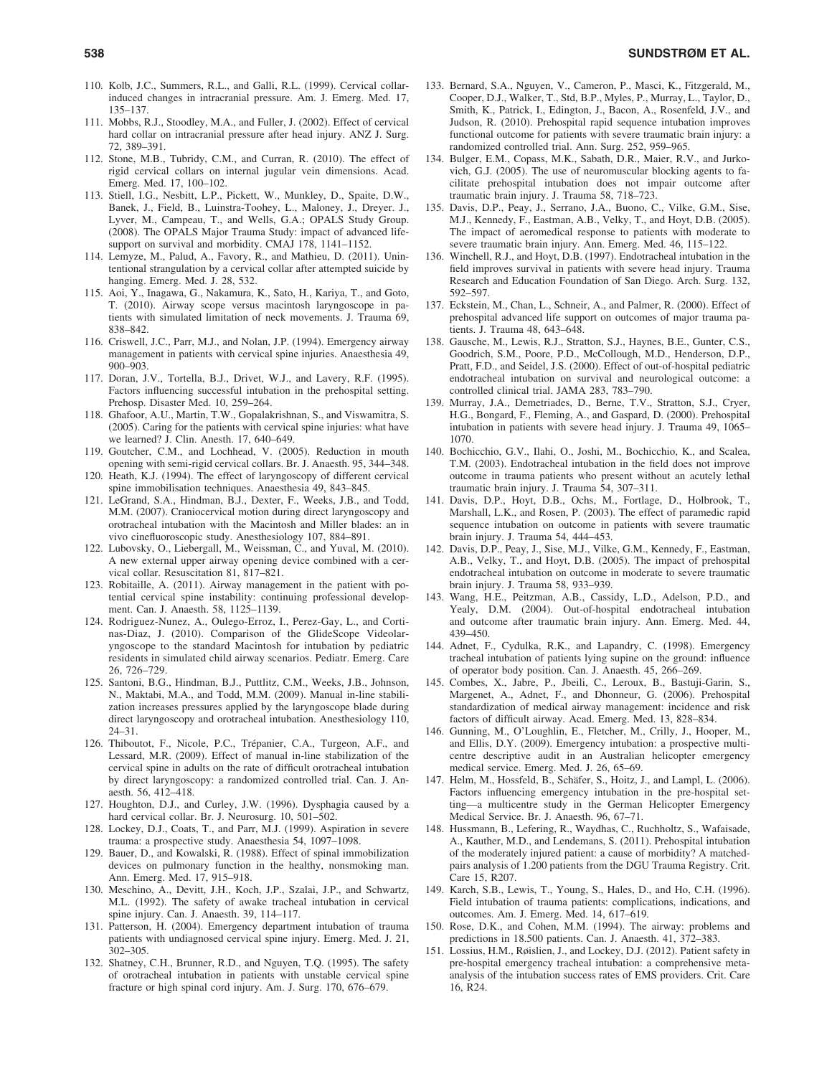- 110. Kolb, J.C., Summers, R.L., and Galli, R.L. (1999). Cervical collarinduced changes in intracranial pressure. Am. J. Emerg. Med. 17, 135–137.
- 111. Mobbs, R.J., Stoodley, M.A., and Fuller, J. (2002). Effect of cervical hard collar on intracranial pressure after head injury. ANZ J. Surg. 72, 389–391.
- 112. Stone, M.B., Tubridy, C.M., and Curran, R. (2010). The effect of rigid cervical collars on internal jugular vein dimensions. Acad. Emerg. Med. 17, 100–102.
- 113. Stiell, I.G., Nesbitt, L.P., Pickett, W., Munkley, D., Spaite, D.W., Banek, J., Field, B., Luinstra-Toohey, L., Maloney, J., Dreyer. J., Lyver, M., Campeau, T., and Wells, G.A.; OPALS Study Group. (2008). The OPALS Major Trauma Study: impact of advanced lifesupport on survival and morbidity. CMAJ 178, 1141–1152.
- 114. Lemyze, M., Palud, A., Favory, R., and Mathieu, D. (2011). Unintentional strangulation by a cervical collar after attempted suicide by hanging. Emerg. Med. J. 28, 532.
- 115. Aoi, Y., Inagawa, G., Nakamura, K., Sato, H., Kariya, T., and Goto, T. (2010). Airway scope versus macintosh laryngoscope in patients with simulated limitation of neck movements. J. Trauma 69, 838–842.
- 116. Criswell, J.C., Parr, M.J., and Nolan, J.P. (1994). Emergency airway management in patients with cervical spine injuries. Anaesthesia 49, 900–903.
- 117. Doran, J.V., Tortella, B.J., Drivet, W.J., and Lavery, R.F. (1995). Factors influencing successful intubation in the prehospital setting. Prehosp. Disaster Med. 10, 259–264.
- 118. Ghafoor, A.U., Martin, T.W., Gopalakrishnan, S., and Viswamitra, S. (2005). Caring for the patients with cervical spine injuries: what have we learned? J. Clin. Anesth. 17, 640–649.
- 119. Goutcher, C.M., and Lochhead, V. (2005). Reduction in mouth opening with semi-rigid cervical collars. Br. J. Anaesth. 95, 344–348.
- 120. Heath, K.J. (1994). The effect of laryngoscopy of different cervical spine immobilisation techniques. Anaesthesia 49, 843–845.
- 121. LeGrand, S.A., Hindman, B.J., Dexter, F., Weeks, J.B., and Todd, M.M. (2007). Craniocervical motion during direct laryngoscopy and orotracheal intubation with the Macintosh and Miller blades: an in vivo cinefluoroscopic study. Anesthesiology 107, 884–891.
- 122. Lubovsky, O., Liebergall, M., Weissman, C., and Yuval, M. (2010). A new external upper airway opening device combined with a cervical collar. Resuscitation 81, 817–821.
- 123. Robitaille, A. (2011). Airway management in the patient with potential cervical spine instability: continuing professional development. Can. J. Anaesth. 58, 1125–1139.
- 124. Rodriguez-Nunez, A., Oulego-Erroz, I., Perez-Gay, L., and Cortinas-Diaz, J. (2010). Comparison of the GlideScope Videolaryngoscope to the standard Macintosh for intubation by pediatric residents in simulated child airway scenarios. Pediatr. Emerg. Care 26, 726–729.
- 125. Santoni, B.G., Hindman, B.J., Puttlitz, C.M., Weeks, J.B., Johnson, N., Maktabi, M.A., and Todd, M.M. (2009). Manual in-line stabilization increases pressures applied by the laryngoscope blade during direct laryngoscopy and orotracheal intubation. Anesthesiology 110, 24–31.
- 126. Thiboutot, F., Nicole, P.C., Trépanier, C.A., Turgeon, A.F., and Lessard, M.R. (2009). Effect of manual in-line stabilization of the cervical spine in adults on the rate of difficult orotracheal intubation by direct laryngoscopy: a randomized controlled trial. Can. J. Anaesth. 56, 412–418.
- 127. Houghton, D.J., and Curley, J.W. (1996). Dysphagia caused by a hard cervical collar. Br. J. Neurosurg. 10, 501–502.
- 128. Lockey, D.J., Coats, T., and Parr, M.J. (1999). Aspiration in severe trauma: a prospective study. Anaesthesia 54, 1097–1098.
- 129. Bauer, D., and Kowalski, R. (1988). Effect of spinal immobilization devices on pulmonary function in the healthy, nonsmoking man. Ann. Emerg. Med. 17, 915–918.
- 130. Meschino, A., Devitt, J.H., Koch, J.P., Szalai, J.P., and Schwartz, M.L. (1992). The safety of awake tracheal intubation in cervical spine injury. Can. J. Anaesth. 39, 114–117.
- 131. Patterson, H. (2004). Emergency department intubation of trauma patients with undiagnosed cervical spine injury. Emerg. Med. J. 21, 302–305.
- 132. Shatney, C.H., Brunner, R.D., and Nguyen, T.Q. (1995). The safety of orotracheal intubation in patients with unstable cervical spine fracture or high spinal cord injury. Am. J. Surg. 170, 676–679.
- 133. Bernard, S.A., Nguyen, V., Cameron, P., Masci, K., Fitzgerald, M., Cooper, D.J., Walker, T., Std, B.P., Myles, P., Murray, L., Taylor, D., Smith, K., Patrick, I., Edington, J., Bacon, A., Rosenfeld, J.V., and Judson, R. (2010). Prehospital rapid sequence intubation improves functional outcome for patients with severe traumatic brain injury: a randomized controlled trial. Ann. Surg. 252, 959–965.
- 134. Bulger, E.M., Copass, M.K., Sabath, D.R., Maier, R.V., and Jurkovich, G.J. (2005). The use of neuromuscular blocking agents to facilitate prehospital intubation does not impair outcome after traumatic brain injury. J. Trauma 58, 718–723.
- 135. Davis, D.P., Peay, J., Serrano, J.A., Buono, C., Vilke, G.M., Sise, M.J., Kennedy, F., Eastman, A.B., Velky, T., and Hoyt, D.B. (2005). The impact of aeromedical response to patients with moderate to severe traumatic brain injury. Ann. Emerg. Med. 46, 115–122.
- 136. Winchell, R.J., and Hoyt, D.B. (1997). Endotracheal intubation in the field improves survival in patients with severe head injury. Trauma Research and Education Foundation of San Diego. Arch. Surg. 132, 592–597.
- 137. Eckstein, M., Chan, L., Schneir, A., and Palmer, R. (2000). Effect of prehospital advanced life support on outcomes of major trauma patients. J. Trauma 48, 643–648.
- 138. Gausche, M., Lewis, R.J., Stratton, S.J., Haynes, B.E., Gunter, C.S., Goodrich, S.M., Poore, P.D., McCollough, M.D., Henderson, D.P., Pratt, F.D., and Seidel, J.S. (2000). Effect of out-of-hospital pediatric endotracheal intubation on survival and neurological outcome: a controlled clinical trial. JAMA 283, 783–790.
- 139. Murray, J.A., Demetriades, D., Berne, T.V., Stratton, S.J., Cryer, H.G., Bongard, F., Fleming, A., and Gaspard, D. (2000). Prehospital intubation in patients with severe head injury. J. Trauma 49, 1065– 1070.
- 140. Bochicchio, G.V., Ilahi, O., Joshi, M., Bochicchio, K., and Scalea, T.M. (2003). Endotracheal intubation in the field does not improve outcome in trauma patients who present without an acutely lethal traumatic brain injury. J. Trauma 54, 307–311.
- 141. Davis, D.P., Hoyt, D.B., Ochs, M., Fortlage, D., Holbrook, T., Marshall, L.K., and Rosen, P. (2003). The effect of paramedic rapid sequence intubation on outcome in patients with severe traumatic brain injury. J. Trauma 54, 444–453.
- 142. Davis, D.P., Peay, J., Sise, M.J., Vilke, G.M., Kennedy, F., Eastman, A.B., Velky, T., and Hoyt, D.B. (2005). The impact of prehospital endotracheal intubation on outcome in moderate to severe traumatic brain injury. J. Trauma 58, 933–939.
- 143. Wang, H.E., Peitzman, A.B., Cassidy, L.D., Adelson, P.D., and Yealy, D.M. (2004). Out-of-hospital endotracheal intubation and outcome after traumatic brain injury. Ann. Emerg. Med. 44, 439–450.
- 144. Adnet, F., Cydulka, R.K., and Lapandry, C. (1998). Emergency tracheal intubation of patients lying supine on the ground: influence of operator body position. Can. J. Anaesth. 45, 266–269.
- 145. Combes, X., Jabre, P., Jbeili, C., Leroux, B., Bastuji-Garin, S., Margenet, A., Adnet, F., and Dhonneur, G. (2006). Prehospital standardization of medical airway management: incidence and risk factors of difficult airway. Acad. Emerg. Med. 13, 828–834.
- 146. Gunning, M., O'Loughlin, E., Fletcher, M., Crilly, J., Hooper, M., and Ellis, D.Y. (2009). Emergency intubation: a prospective multicentre descriptive audit in an Australian helicopter emergency medical service. Emerg. Med. J. 26, 65–69.
- 147. Helm, M., Hossfeld, B., Schäfer, S., Hoitz, J., and Lampl, L. (2006). Factors influencing emergency intubation in the pre-hospital setting—a multicentre study in the German Helicopter Emergency Medical Service. Br. J. Anaesth. 96, 67–71.
- 148. Hussmann, B., Lefering, R., Waydhas, C., Ruchholtz, S., Wafaisade, A., Kauther, M.D., and Lendemans, S. (2011). Prehospital intubation of the moderately injured patient: a cause of morbidity? A matchedpairs analysis of 1.200 patients from the DGU Trauma Registry. Crit. Care 15, R207.
- 149. Karch, S.B., Lewis, T., Young, S., Hales, D., and Ho, C.H. (1996). Field intubation of trauma patients: complications, indications, and outcomes. Am. J. Emerg. Med. 14, 617–619.
- 150. Rose, D.K., and Cohen, M.M. (1994). The airway: problems and predictions in 18.500 patients. Can. J. Anaesth. 41, 372–383.
- 151. Lossius, H.M., Røislien, J., and Lockey, D.J. (2012). Patient safety in pre-hospital emergency tracheal intubation: a comprehensive metaanalysis of the intubation success rates of EMS providers. Crit. Care 16, R24.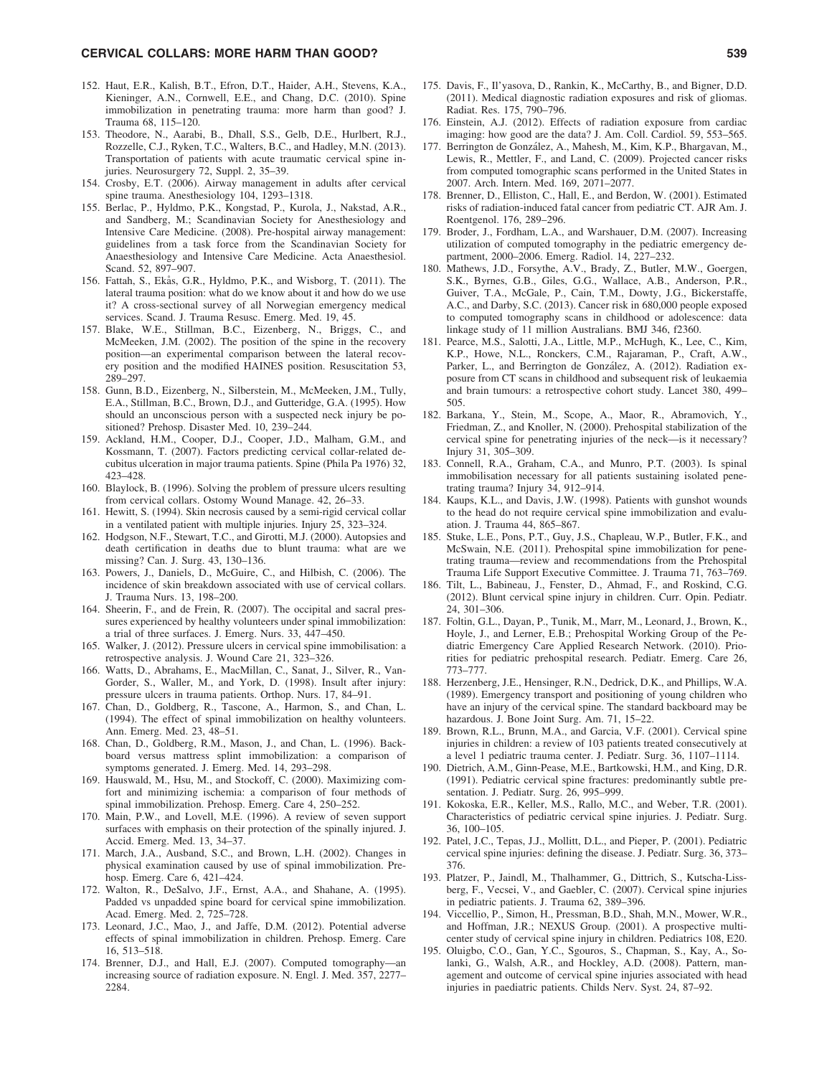- 152. Haut, E.R., Kalish, B.T., Efron, D.T., Haider, A.H., Stevens, K.A., Kieninger, A.N., Cornwell, E.E., and Chang, D.C. (2010). Spine immobilization in penetrating trauma: more harm than good? J. Trauma 68, 115–120.
- 153. Theodore, N., Aarabi, B., Dhall, S.S., Gelb, D.E., Hurlbert, R.J., Rozzelle, C.J., Ryken, T.C., Walters, B.C., and Hadley, M.N. (2013). Transportation of patients with acute traumatic cervical spine injuries. Neurosurgery 72, Suppl. 2, 35–39.
- 154. Crosby, E.T. (2006). Airway management in adults after cervical spine trauma. Anesthesiology 104, 1293–1318.
- 155. Berlac, P., Hyldmo, P.K., Kongstad, P., Kurola, J., Nakstad, A.R., and Sandberg, M.; Scandinavian Society for Anesthesiology and Intensive Care Medicine. (2008). Pre-hospital airway management: guidelines from a task force from the Scandinavian Society for Anaesthesiology and Intensive Care Medicine. Acta Anaesthesiol. Scand. 52, 897–907.
- 156. Fattah, S., Ekås, G.R., Hyldmo, P.K., and Wisborg, T. (2011). The lateral trauma position: what do we know about it and how do we use it? A cross-sectional survey of all Norwegian emergency medical services. Scand. J. Trauma Resusc. Emerg. Med. 19, 45.
- 157. Blake, W.E., Stillman, B.C., Eizenberg, N., Briggs, C., and McMeeken, J.M. (2002). The position of the spine in the recovery position—an experimental comparison between the lateral recovery position and the modified HAINES position. Resuscitation 53, 289–297.
- 158. Gunn, B.D., Eizenberg, N., Silberstein, M., McMeeken, J.M., Tully, E.A., Stillman, B.C., Brown, D.J., and Gutteridge, G.A. (1995). How should an unconscious person with a suspected neck injury be positioned? Prehosp. Disaster Med. 10, 239–244.
- 159. Ackland, H.M., Cooper, D.J., Cooper, J.D., Malham, G.M., and Kossmann, T. (2007). Factors predicting cervical collar-related decubitus ulceration in major trauma patients. Spine (Phila Pa 1976) 32, 423–428.
- 160. Blaylock, B. (1996). Solving the problem of pressure ulcers resulting from cervical collars. Ostomy Wound Manage. 42, 26–33.
- 161. Hewitt, S. (1994). Skin necrosis caused by a semi-rigid cervical collar in a ventilated patient with multiple injuries. Injury 25, 323–324.
- 162. Hodgson, N.F., Stewart, T.C., and Girotti, M.J. (2000). Autopsies and death certification in deaths due to blunt trauma: what are we missing? Can. J. Surg. 43, 130–136.
- 163. Powers, J., Daniels, D., McGuire, C., and Hilbish, C. (2006). The incidence of skin breakdown associated with use of cervical collars. J. Trauma Nurs. 13, 198–200.
- 164. Sheerin, F., and de Frein, R. (2007). The occipital and sacral pressures experienced by healthy volunteers under spinal immobilization: a trial of three surfaces. J. Emerg. Nurs. 33, 447–450.
- 165. Walker, J. (2012). Pressure ulcers in cervical spine immobilisation: a retrospective analysis. J. Wound Care 21, 323–326.
- 166. Watts, D., Abrahams, E., MacMillan, C., Sanat, J., Silver, R., Van-Gorder, S., Waller, M., and York, D. (1998). Insult after injury: pressure ulcers in trauma patients. Orthop. Nurs. 17, 84–91.
- 167. Chan, D., Goldberg, R., Tascone, A., Harmon, S., and Chan, L. (1994). The effect of spinal immobilization on healthy volunteers. Ann. Emerg. Med. 23, 48–51.
- 168. Chan, D., Goldberg, R.M., Mason, J., and Chan, L. (1996). Backboard versus mattress splint immobilization: a comparison of symptoms generated. J. Emerg. Med. 14, 293–298.
- 169. Hauswald, M., Hsu, M., and Stockoff, C. (2000). Maximizing comfort and minimizing ischemia: a comparison of four methods of spinal immobilization. Prehosp. Emerg. Care 4, 250–252.
- 170. Main, P.W., and Lovell, M.E. (1996). A review of seven support surfaces with emphasis on their protection of the spinally injured. J. Accid. Emerg. Med. 13, 34–37.
- 171. March, J.A., Ausband, S.C., and Brown, L.H. (2002). Changes in physical examination caused by use of spinal immobilization. Prehosp. Emerg. Care 6, 421–424.
- 172. Walton, R., DeSalvo, J.F., Ernst, A.A., and Shahane, A. (1995). Padded vs unpadded spine board for cervical spine immobilization. Acad. Emerg. Med. 2, 725–728.
- 173. Leonard, J.C., Mao, J., and Jaffe, D.M. (2012). Potential adverse effects of spinal immobilization in children. Prehosp. Emerg. Care 16, 513–518.
- 174. Brenner, D.J., and Hall, E.J. (2007). Computed tomography—an increasing source of radiation exposure. N. Engl. J. Med. 357, 2277– 2284.
- 175. Davis, F., Il'yasova, D., Rankin, K., McCarthy, B., and Bigner, D.D. (2011). Medical diagnostic radiation exposures and risk of gliomas. Radiat. Res. 175, 790–796.
- 176. Einstein, A.J. (2012). Effects of radiation exposure from cardiac imaging: how good are the data? J. Am. Coll. Cardiol. 59, 553–565.
- 177. Berrington de González, A., Mahesh, M., Kim, K.P., Bhargavan, M., Lewis, R., Mettler, F., and Land, C. (2009). Projected cancer risks from computed tomographic scans performed in the United States in 2007. Arch. Intern. Med. 169, 2071–2077.
- 178. Brenner, D., Elliston, C., Hall, E., and Berdon, W. (2001). Estimated risks of radiation-induced fatal cancer from pediatric CT. AJR Am. J. Roentgenol. 176, 289–296.
- 179. Broder, J., Fordham, L.A., and Warshauer, D.M. (2007). Increasing utilization of computed tomography in the pediatric emergency department, 2000–2006. Emerg. Radiol. 14, 227–232.
- 180. Mathews, J.D., Forsythe, A.V., Brady, Z., Butler, M.W., Goergen, S.K., Byrnes, G.B., Giles, G.G., Wallace, A.B., Anderson, P.R., Guiver, T.A., McGale, P., Cain, T.M., Dowty, J.G., Bickerstaffe, A.C., and Darby, S.C. (2013). Cancer risk in 680,000 people exposed to computed tomography scans in childhood or adolescence: data linkage study of 11 million Australians. BMJ 346, f2360.
- 181. Pearce, M.S., Salotti, J.A., Little, M.P., McHugh, K., Lee, C., Kim, K.P., Howe, N.L., Ronckers, C.M., Rajaraman, P., Craft, A.W., Parker, L., and Berrington de González, A. (2012). Radiation exposure from CT scans in childhood and subsequent risk of leukaemia and brain tumours: a retrospective cohort study. Lancet 380, 499– 505.
- 182. Barkana, Y., Stein, M., Scope, A., Maor, R., Abramovich, Y., Friedman, Z., and Knoller, N. (2000). Prehospital stabilization of the cervical spine for penetrating injuries of the neck—is it necessary? Injury 31, 305–309.
- 183. Connell, R.A., Graham, C.A., and Munro, P.T. (2003). Is spinal immobilisation necessary for all patients sustaining isolated penetrating trauma? Injury 34, 912–914.
- 184. Kaups, K.L., and Davis, J.W. (1998). Patients with gunshot wounds to the head do not require cervical spine immobilization and evaluation. J. Trauma 44, 865–867.
- 185. Stuke, L.E., Pons, P.T., Guy, J.S., Chapleau, W.P., Butler, F.K., and McSwain, N.E. (2011). Prehospital spine immobilization for penetrating trauma—review and recommendations from the Prehospital Trauma Life Support Executive Committee. J. Trauma 71, 763–769.
- 186. Tilt, L., Babineau, J., Fenster, D., Ahmad, F., and Roskind, C.G. (2012). Blunt cervical spine injury in children. Curr. Opin. Pediatr. 24, 301–306.
- 187. Foltin, G.L., Dayan, P., Tunik, M., Marr, M., Leonard, J., Brown, K., Hoyle, J., and Lerner, E.B.; Prehospital Working Group of the Pediatric Emergency Care Applied Research Network. (2010). Priorities for pediatric prehospital research. Pediatr. Emerg. Care 26, 773–777.
- 188. Herzenberg, J.E., Hensinger, R.N., Dedrick, D.K., and Phillips, W.A. (1989). Emergency transport and positioning of young children who have an injury of the cervical spine. The standard backboard may be hazardous. J. Bone Joint Surg. Am. 71, 15–22.
- 189. Brown, R.L., Brunn, M.A., and Garcia, V.F. (2001). Cervical spine injuries in children: a review of 103 patients treated consecutively at a level 1 pediatric trauma center. J. Pediatr. Surg. 36, 1107–1114.
- 190. Dietrich, A.M., Ginn-Pease, M.E., Bartkowski, H.M., and King, D.R. (1991). Pediatric cervical spine fractures: predominantly subtle presentation. J. Pediatr. Surg. 26, 995–999.
- 191. Kokoska, E.R., Keller, M.S., Rallo, M.C., and Weber, T.R. (2001). Characteristics of pediatric cervical spine injuries. J. Pediatr. Surg. 36, 100–105.
- 192. Patel, J.C., Tepas, J.J., Mollitt, D.L., and Pieper, P. (2001). Pediatric cervical spine injuries: defining the disease. J. Pediatr. Surg. 36, 373– 376.
- 193. Platzer, P., Jaindl, M., Thalhammer, G., Dittrich, S., Kutscha-Lissberg, F., Vecsei, V., and Gaebler, C. (2007). Cervical spine injuries in pediatric patients. J. Trauma 62, 389–396.
- 194. Viccellio, P., Simon, H., Pressman, B.D., Shah, M.N., Mower, W.R., and Hoffman, J.R.; NEXUS Group. (2001). A prospective multicenter study of cervical spine injury in children. Pediatrics 108, E20.
- 195. Oluigbo, C.O., Gan, Y.C., Sgouros, S., Chapman, S., Kay, A., Solanki, G., Walsh, A.R., and Hockley, A.D. (2008). Pattern, management and outcome of cervical spine injuries associated with head injuries in paediatric patients. Childs Nerv. Syst. 24, 87–92.